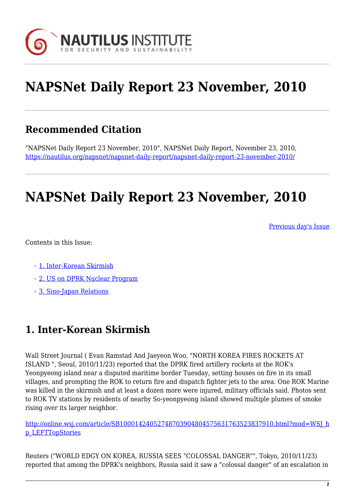

# **NAPSNet Daily Report 23 November, 2010**

## **Recommended Citation**

"NAPSNet Daily Report 23 November, 2010", NAPSNet Daily Report, November 23, 2010, <https://nautilus.org/napsnet/napsnet-daily-report/napsnet-daily-report-23-november-2010/>

## **NAPSNet Daily Report 23 November, 2010**

[Previous day's Issue](http://nautilus.org/mailing-lists/napsnet/dr/2010/napsnet-daily-report-19-november-2010)

Contents in this Issue:

- o [1. Inter-Korean Skirmish](http://oldsite.nautilus.org/napsnet/dr/#item2)
- ❍ [2. US on DPRK Nuclear Program](http://oldsite.nautilus.org/napsnet/dr/#item4)
- ❍ [3. Sino-Japan Relations](http://oldsite.nautilus.org/napsnet/dr/#item6)

### **1. Inter-Korean Skirmish**

Wall Street Journal ( Evan Ramstad And Jaeyeon Woo, "NORTH KOREA FIRES ROCKETS AT ISLAND ", Seoul, 2010/11/23) reported that the DPRK fired artillery rockets at the ROK's Yeonpyeong island near a disputed maritime border Tuesday, setting houses on fire in its small villages, and prompting the ROK to return fire and dispatch fighter jets to the area. One ROK Marine was killed in the skirmish and at least a dozen more were injured, military officials said. Photos sent to ROK TV stations by residents of nearby So-yeonpyeong island showed multiple plumes of smoke rising over its larger neighbor.

[http://online.wsj.com/article/SB10001424052748703904804575631763523837910.html?mod=WSJ\\_h](http://online.wsj.com/article/SB10001424052748703904804575631763523837910.html?mod=WSJ_hp_LEFTTopStories) [p\\_LEFTTopStories](http://online.wsj.com/article/SB10001424052748703904804575631763523837910.html?mod=WSJ_hp_LEFTTopStories)

Reuters ("WORLD EDGY ON KOREA, RUSSIA SEES "COLOSSAL DANGER"", Tokyo, 2010/11/23) reported that among the DPRK's neighbors, Russia said it saw a "colossal danger" of an escalation in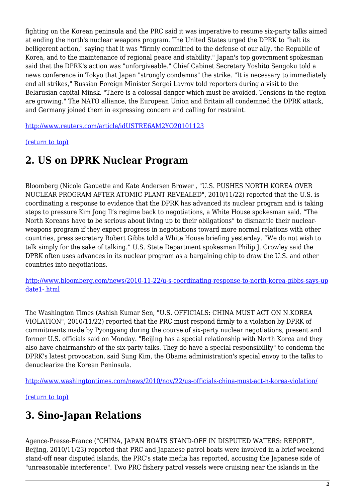fighting on the Korean peninsula and the PRC said it was imperative to resume six-party talks aimed at ending the north's nuclear weapons program. The United States urged the DPRK to "halt its belligerent action," saying that it was "firmly committed to the defense of our ally, the Republic of Korea, and to the maintenance of regional peace and stability." Japan's top government spokesman said that the DPRK's action was "unforgiveable." Chief Cabinet Secretary Yoshito Sengoku told a news conference in Tokyo that Japan "strongly condemns" the strike. "It is necessary to immediately end all strikes," Russian Foreign Minister Sergei Lavrov told reporters during a visit to the Belarusian capital Minsk. "There is a colossal danger which must be avoided. Tensions in the region are growing." The NATO alliance, the European Union and Britain all condemned the DPRK attack, and Germany joined them in expressing concern and calling for restraint.

[http://www.reuters.com/article/idUSTRE6AM2YO20101123](http://e.nikkei.com/e/fr/tnks/Nni20101123D22JFN05.htm)

#### [\(return to top\)](http://oldsite.nautilus.org/napsnet/dr/#top)

### **2. US on DPRK Nuclear Program**

Bloomberg (Nicole Gaouette and Kate Andersen Brower , "U.S. PUSHES NORTH KOREA OVER NUCLEAR PROGRAM AFTER ATOMIC PLANT REVEALED", 2010/11/22) reported that the U.S. is coordinating a response to evidence that the DPRK has advanced its nuclear program and is taking steps to pressure Kim Jong Il's regime back to negotiations, a White House spokesman said. "The North Koreans have to be serious about living up to their obligations" to dismantle their nuclearweapons program if they expect progress in negotiations toward more normal relations with other countries, press secretary Robert Gibbs told a White House briefing yesterday. "We do not wish to talk simply for the sake of talking." U.S. State Department spokesman Philip J. Crowley said the DPRK often uses advances in its nuclear program as a bargaining chip to draw the U.S. and other countries into negotiations.

[http://www.bloomberg.com/news/2010-11-22/u-s-coordinating-response-to-north-korea-gibbs-says-up](http://www.bloomberg.com/news/2010-11-22/u-s-coordinating-response-to-north-korea-gibbs-says-update1-.html) [date1-.html](http://www.bloomberg.com/news/2010-11-22/u-s-coordinating-response-to-north-korea-gibbs-says-update1-.html)

The Washington Times (Ashish Kumar Sen, "U.S. OFFICIALS: CHINA MUST ACT ON N.KOREA VIOLATION", 2010/11/22) reported that the PRC must respond firmly to a violation by DPRK of commitments made by Pyongyang during the course of six-party nuclear negotiations, present and former U.S. officials said on Monday. "Beijing has a special relationship with North Korea and they also have chairmanship of the six-party talks. They do have a special responsibility" to condemn the DPRK's latest provocation, said Sung Kim, the Obama administration's special envoy to the talks to denuclearize the Korean Peninsula.

<http://www.washingtontimes.com/news/2010/nov/22/us-officials-china-must-act-n-korea-violation/>

#### [\(return to top\)](http://oldsite.nautilus.org/napsnet/dr/#top)

## **3. Sino-Japan Relations**

Agence-Presse-France ("CHINA, JAPAN BOATS STAND-OFF IN DISPUTED WATERS: REPORT", Beijing, 2010/11/23) reported that PRC and Japanese patrol boats were involved in a brief weekend stand-off near disputed islands, the PRC's state media has reported, accusing the Japanese side of "unreasonable interference". Two PRC fishery patrol vessels were cruising near the islands in the